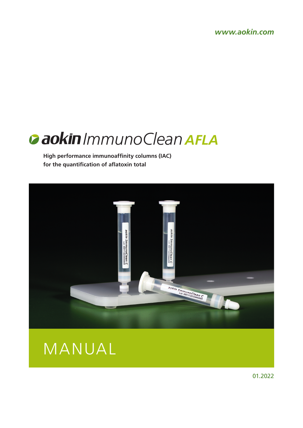*www.aokin.com*

# *ImmunoClean AFLA*

**High performance immunoaffinity columns (IAC) for the quantification of aflatoxin total**





01.2022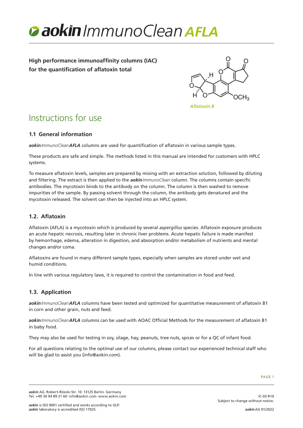

**High performance immunoaffinity columns (IAC) for the quantification of aflatoxin total**



*Aflatoxin B*

# Instructions for use

## **1.1 General information**

*aokinImmunoCleanAFLA* columns are used for quantification of aflatoxin in various sample types.

These products are safe and simple. The methods listed in this manual are intended for customers with HPLC systems.

To measure aflatoxin levels, samples are prepared by mixing with an extraction solution, followed by diluting and filtering. The extract is then applied to the *aokinImmunoClean* column. The columns contain specific antibodies. The mycotoxin binds to the antibody on the column. The column is then washed to remove impurities of the sample. By passing solvent through the column, the antibody gets denatured and the mycotoxin released. The solvent can then be injected into an HPLC system.

# **1.2. Aflatoxin**

Aflatoxin (AFLA) is a mycotoxin which is produced by several *aspergillus* species. Aflatoxin exposure produces an acute hepatic necrosis, resulting later in chronic liver problems. Acute hepatic failure is made manifest by hemorrhage, edema, alteration in digestion, and absorption and/or metabolism of nutrients and mental changes and/or coma.

Aflatoxins are found in many different sample types, especially when samples are stored under wet and humid conditions.

In line with various regulatory laws, it is required to control the contamination in food and feed.

## **1.3. Application**

*aokinImmunoCleanAFLA* columns have been tested and optimized for quantitative measurement of aflatoxin B1 in corn and other grain, nuts and feed.

*aokinImmunoCleanAFLA* columns can be used with AOAC Official Methods for the measurement of aflatoxin B1 in baby food.

They may also be used for testing in soy, silage, hay, peanuts, tree nuts, spices or for a QC of infant food.

For all questions relating to the optimal use of our columns, please contact our experienced technical staff who will be glad to assist you (info@aokin.com).

*aokin* AG·Robert-Rössle-Str. 10·13125 Berlin·Germany Tel. +49 30 94 89 21 60·info@aokin.com·www.aokin.com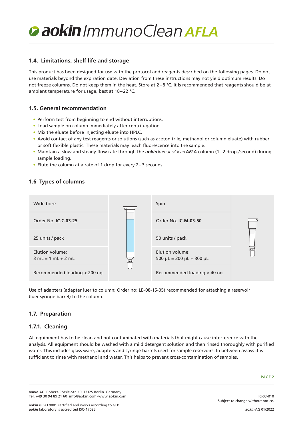### **1.4. Limitations, shelf life and storage**

This product has been designed for use with the protocol and reagents described on the following pages. Do not use materials beyond the expiration date. Deviation from these instructions may not yield optimum results. Do not freeze columns. Do not keep them in the heat. Store at  $2-8$  °C. It is recommended that reagents should be at ambient temperature for usage, best at 18–22 °C.

### **1.5. General recommendation**

- Perform test from beginning to end without interruptions.
- Load sample on column immediately after centrifugation.
- Mix the eluate before injecting eluate into HPLC.
- Avoid contact of any test reagents or solutions (such as acetonitrile, methanol or column eluate) with rubber or soft flexible plastic. These materials may leach fluorescence into the sample.
- Maintain a slow and steady flow rate through the *aokinImmunoCleanAFLA* column (1–2 drops/second) during sample loading.
- Elute the column at a rate of 1 drop for every 2–3 seconds.

### **1.6 Types of columns**

| Wide bore                               |  | Spin                                                   |  |
|-----------------------------------------|--|--------------------------------------------------------|--|
| Order No. <b>IC-C-03-25</b>             |  | Order No. <b>IC-M-03-50</b>                            |  |
| 25 units / pack                         |  | 50 units / pack                                        |  |
| Elution volume:<br>$3 mL = 1 mL + 2 mL$ |  | Elution volume:<br>$500 \mu L = 200 \mu L + 300 \mu L$ |  |
| Recommended loading < 200 ng            |  | Recommended loading < 40 ng                            |  |

Use of adapters (adapter luer to column; Order no: LB-08-15-05) recommended for attaching a reservoir (luer syringe barrel) to the column.

#### **1.7. Preparation**

## **1.7.1. Cleaning**

All equipment has to be clean and not contaminated with materials that might cause interference with the analysis. All equipment should be washed with a mild detergent solution and then rinsed thoroughly with purified water. This includes glass ware, adapters and syringe barrels used for sample reservoirs. In between assays it is sufficient to rinse with methanol and water. This helps to prevent cross-contamination of samples.

IC-03-R10

*aokin* AG·Robert-Rössle-Str. 10·13125 Berlin·Germany Tel. +49 30 94 89 21 60·info@aokin.com·www.aokin.com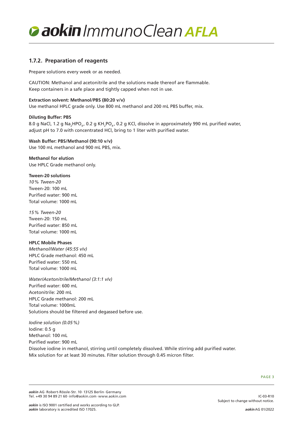

### **1.7.2. Preparation of reagents**

Prepare solutions every week or as needed.

CAUTION: Methanol and acetonitrile and the solutions made thereof are flammable. Keep containers in a safe place and tightly capped when not in use.

#### **Extraction solvent: Methanol/PBS (80:20 v/v)**

Use methanol HPLC grade only. Use 800 mL methanol and 200 mL PBS buffer, mix.

#### **Diluting Buffer: PBS**

8.0 g NaCl, 1.2 g Na<sub>2</sub>HPO<sub>4</sub>, 0.2 g KH<sub>2</sub>PO<sub>4</sub>, 0.2 g KCl, dissolve in approximately 990 mL purified water, adjust pH to 7.0 with concentrated HCl, bring to 1 liter with purified water.

**Wash Buffer: PBS/Methanol (90:10 v/v)** Use 100 mL methanol and 900 mL PBS, mix.

**Methanol for elution** Use HPLC Grade methanol only.

#### **Tween-20 solutions**

*10% Tween-20* Tween-20: 100 mL Purified water: 900 mL Total volume: 1000 mL

*15% Tween-20* Tween-20: 150 mL Purified water: 850 mL Total volume: 1000 mL

#### **HPLC Mobile Phases**

*Methanol/Water (45:55 v/v)* HPLC Grade methanol: 450 mL Purified water: 550 mL Total volume: 1000 mL

*Water/Acetonitrile/Methanol (3:1:1 v/v)* Purified water: 600 mL Acetonitrile: 200 mL HPLC Grade methanol: 200 mL Total volume: 1000mL Solutions should be filtered and degassed before use.

*Iodine solution (0.05%)* Iodine: 0.5 g Methanol: 100 mL Purified water: 900 mL Dissolve iodine in methanol, stirring until completely dissolved. While stirring add purified water.

Mix solution for at least 30 minutes. Filter solution through 0.45 micron filter.

*aokin* AG·Robert-Rössle-Str. 10·13125 Berlin·Germany Tel. +49 30 94 89 21 60·info@aokin.com·www.aokin.com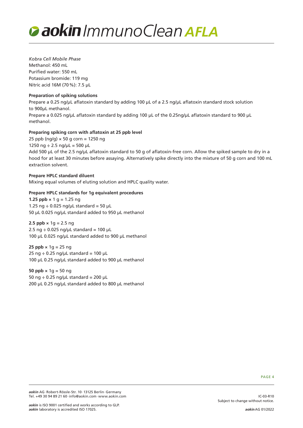

*Kobra Cell Mobile Phase* Methanol: 450 mL Purified water: 550 mL Potassium bromide: 119 mg Nitric acid 16M (70%): 7.5 µL

#### **Preparation of spiking solutions**

Prepare a 0.25 ng/µL aflatoxin standard by adding 100 µL of a 2.5 ng/µL aflatoxin standard stock solution to 900µL methanol. Prepare a 0.025 ng/uL aflatoxin standard by adding 100 uL of the 0.25ng/uL aflatoxin standard to 900 uL methanol.

#### **Preparing spiking corn with aflatoxin at 25 ppb level**

25 ppb (ng/g)  $\times$  50 g corn = 1250 ng 1250 ng  $\div$  2.5 ng/ $\mu$ L = 500  $\mu$ L Add 500 µL of the 2.5 ng/µL aflatoxin standard to 50 g of aflatoxin-free corn. Allow the spiked sample to dry in a hood for at least 30 minutes before assaying. Alternatively spike directly into the mixture of 50 g corn and 100 mL extraction solvent.

#### **Prepare HPLC standard diluent**

Mixing equal volumes of eluting solution and HPLC quality water.

#### **Prepare HPLC standards for 1g equivalent procedures**

**1.25 ppb**  $\times$  1 g = 1.25 ng 1.25 ng  $\div$  0.025 ng/µL standard = 50 µL 50 µL 0.025 ng/µL standard added to 950 µL methanol

#### **2.5 ppb**  $\times$  1g = 2.5 ng 2.5 ng  $\div$  0.025 ng/µL standard = 100 µL 100 µL 0.025 ng/µL standard added to 900 µL methanol

**25 ppb ×** 1g = 25 ng 25 ng  $\div$  0.25 ng/ $\mu$ L standard = 100  $\mu$ L 100 µL 0.25 ng/µL standard added to 900 µL methanol

**50 ppb ×** 1g = 50 ng 50 ng  $\div$  0.25 ng/µL standard = 200 µL 200 µL 0.25 ng/µL standard added to 800 µL methanol

PAGE 4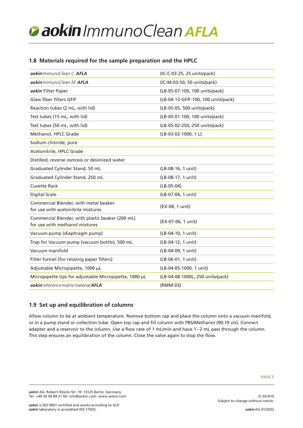## **1.8 Materials required for the sample preparation and the HPLC**

| aokin ImmunoClean C AFLA                                                           | (IC-C-03-25, 25 units/pack)         |
|------------------------------------------------------------------------------------|-------------------------------------|
| aokin ImmunoClean M AFLA                                                           | (IC-M-03-50, 50 units/pack)         |
| aokin Filter Paper                                                                 | (LB-05-07-100, 100 units/pack)      |
| Glass fiber filters GF/F                                                           | (LB-04-13-GF/F-100, 100 units/pack) |
| Reaction tubes (2 mL, with lid)                                                    | (LB-05-05, 500 units/pack)          |
| Test tubes (15 mL, with lid)                                                       | (LB-05-01-100, 100 units/pack)      |
| Test tubes (50 mL, with lid)                                                       | (LB-05-02-250, 250 units/pack)      |
| Methanol, HPLC Grade                                                               | (LB-03-02-1000, 1L)                 |
| Sodium chloride, pure                                                              |                                     |
| Acetonitrile, HPLC Grade                                                           |                                     |
| Distilled, reverse osmosis or deionized water                                      |                                     |
| Graduated Cylinder Stand, 50 mL                                                    | (LB-08-16, 1 unit)                  |
| Graduated Cylinder Stand, 250 mL                                                   | (LB-08-17, 1 unit)                  |
| <b>Cuvette Rack</b>                                                                | $(LB-05-04)$                        |
| <b>Digital Scale</b>                                                               | (LB-07-04, 1 unit)                  |
| Commercial Blender, with metal beaker<br>for use with acetonitrile mixtures        | (EX-08, 1 unit)                     |
| Commercial Blender, with plastic beaker (200 mL)<br>for use with methanol mixtures | (EX-07-06, 1 unit)                  |
| Vacuum-pump (diaphragm pump)                                                       | (LB-04-10, 1 unit)                  |
| Trap for Vacuum-pump (vacuum bottle), 500 mL                                       | (LB-04-12, 1 unit)                  |
| Vacuum manifold                                                                    | (LB-04-09, 1 unit)                  |
| Filter funnel (for retainig paper filters)                                         | (LB-06-01, 1 unit)                  |
| Adjustable Micropipette, 1000 µL                                                   | (LB-04-05-1000, 1 unit)             |
| Micropipette tips for adjustable Micropipette, 1000 µL                             | (LB-04-08-1000L, 250 units/pack)    |
| aokin reference matrix material AFLA                                               | (RMM-03)                            |

## **1.9 Set up and equilibration of columns**

Allow column to be at ambient temperature. Remove bottom cap and place the column onto a vacuum manifold, or in a pump stand or collection tube. Open top cap and fill column with PBS/Methanol (90:10 v/v). Connect adapter and a reservoir to the column. Use a flow rate of 1 mL/min and have 1–2 mL pass through the column. This step ensures an equilibration of the column. Close the valve again to stop the flow.

IC-03-R10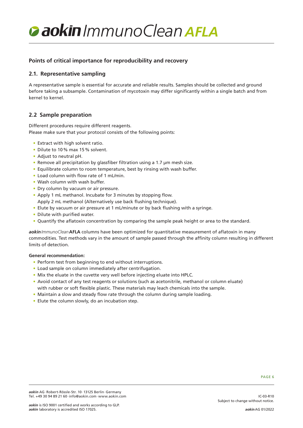

### **Points of critical importance for reproducibility and recovery**

### **2.1. Representative sampling**

A representative sample is essential for accurate and reliable results. Samples should be collected and ground before taking a subsample. Contamination of mycotoxin may differ significantly within a single batch and from kernel to kernel.

### **2.2 Sample preparation**

Different procedures require different reagents. Please make sure that your protocol consists of the following points:

- Extract with high solvent ratio.
- Dilute to 10% max 15% solvent.
- Adjust to neutral pH.
- Remove all precipitation by glassfiber filtration using a 1.7 µm mesh size.
- Equilibrate column to room temperature, best by rinsing with wash buffer.
- Load column with flow rate of 1 mL/min.
- Wash column with wash buffer.
- Dry column by vacuum or air pressure.
- Apply 1 mL methanol. Incubate for 3 minutes by stopping flow. Apply 2 mL methanol (Alternatively use back flushing technique).
- Elute by vacuum or air pressure at 1 mL/minute or by back flushing with a syringe.
- Dilute with purified water.
- Quantify the aflatoxin concentration by comparing the sample peak height or area to the standard.

*aokinImmunoClean***AFLA** columns have been optimized for quantitative measurement of aflatoxin in many commodities. Test methods vary in the amount of sample passed through the affinity column resulting in different limits of detection.

#### **General recommendation:**

- Perform test from beginning to end without interruptions.
- Load sample on column immediately after centrifugation.
- Mix the eluate in the cuvette very well before injecting eluate into HPLC.
- Avoid contact of any test reagents or solutions (such as acetonitrile, methanol or column eluate) with rubber or soft flexible plastic. These materials may leach chemicals into the sample.
- Maintain a slow and steady flow rate through the column during sample loading.
- Elute the column slowly, do an incubation step.

IC-03-R10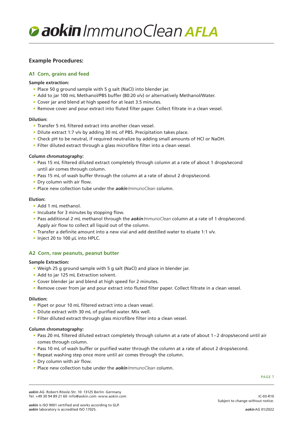

#### **Example Procedures:**

#### **A1 Corn, grains and feed**

#### **Sample extraction:**

- Place 50 g ground sample with 5 g salt (NaCl) into blender jar.
- Add to jar 100 mL Methanol/PBS buffer (80:20 v/v) or alternatively Methanol/Water.
- Cover jar and blend at high speed for at least 3.5 minutes.
- Remove cover and pour extract into fluted filter paper. Collect filtrate in a clean vessel.

#### **Dilution:**

- Transfer 5 mL filtered extract into another clean vessel.
- Dilute extract 1:7 v/v by adding 30 mL of PBS. Precipitation takes place.
- Check pH to be neutral, if required neutralize by adding small amounts of HCl or NaOH.
- Filter diluted extract through a glass microfibre filter into a clean vessel.

#### **Column chromatography:**

- Pass 15 mL filtered diluted extract completely through column at a rate of about 1 drops/second until air comes through column.
- Pass 15 mL of wash buffer through the column at a rate of about 2 drops/second.
- Dry column with air flow.
- Place new collection tube under the *aokinImmunoClean* column.

#### **Elution:**

- Add 1 mL methanol.
- Incubate for 3 minutes by stopping flow.
- Pass additional 2 mL methanol through the *aokinImmunoClean* column at a rate of 1 drop/second. Apply air flow to collect all liquid out of the column.
- Transfer a definite amount into a new vial and add destilled water to eluate 1:1 v/v.
- Inject 20 to 100 µL into HPLC.

#### **A2 Corn, raw peanuts, peanut butter**

#### **Sample Extraction:**

- Weigh 25 g ground sample with 5 g salt (NaCl) and place in blender jar.
- Add to jar 125 mL Extraction solvent.
- Cover blender jar and blend at high speed for 2 minutes.
- Remove cover from jar and pour extract into fluted filter paper. Collect filtrate in a clean vessel.

#### **Dilution:**

- Pipet or pour 10 mL filtered extract into a clean vessel.
- Dilute extract with 30 mL of purified water. Mix well.
- Filter diluted extract through glass microfibre filter into a clean vessel.

#### **Column chromatography:**

- Pass 20 mL filtered diluted extract completely through column at a rate of about 1–2 drops/second until air comes through column.
- Pass 10 mL of wash buffer or purified water through the column at a rate of about 2 drops/second.
- Repeat washing step once more until air comes through the column.
- Dry column with air flow.
- Place new collection tube under the *aokinImmunoClean* column.

IC-03-R10

*aokin* AG·Robert-Rössle-Str. 10·13125 Berlin·Germany Tel. +49 30 94 89 21 60·info@aokin.com·www.aokin.com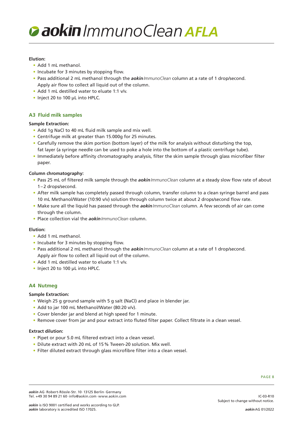#### **Elution:**

- Add 1 mL methanol.
- Incubate for 3 minutes by stopping flow.
- Pass additional 2 mL methanol through the *aokinImmunoClean* column at a rate of 1 drop/second. Apply air flow to collect all liquid out of the column.
- Add 1 mL destilled water to eluate 1:1 v/v.
- Inject 20 to 100 µL into HPLC.

#### **A3 Fluid milk samples**

#### **Sample Extraction:**

- Add 1g NaCl to 40 mL fluid milk sample and mix well.
- Centrifuge milk at greater than 15.000g for 25 minutes.
- Carefully remove the skim portion (bottom layer) of the milk for analysis without disturbing the top, fat layer (a syringe needle can be used to poke a hole into the bottom of a plastic centrifuge tube).
- Immediately before affinity chromatography analysis, filter the skim sample through glass microfiber filter paper.

#### **Column chromatography:**

- Pass 25 mL of filtered milk sample through the *aokinImmunoClean* column at a steady slow flow rate of about 1–2 drops/second.
- After milk sample has completely passed through column, transfer column to a clean syringe barrel and pass 10 mL Methanol/Water (10:90 v/v) solution through column twice at about 2 drops/second flow rate.
- Make sure all the liquid has passed through the *aokinImmunoClean* column. A few seconds of air can come through the column.
- Place collection vial the *aokinImmunoClean* column.

#### **Elution:**

- Add 1 mL methanol.
- Incubate for 3 minutes by stopping flow.
- Pass additional 2 mL methanol through the *aokinImmunoClean* column at a rate of 1 drop/second. Apply air flow to collect all liquid out of the column.
- Add 1 mL destilled water to eluate 1:1 v/v.
- Inject 20 to 100 µL into HPLC.

#### **A4 Nutmeg**

#### **Sample Extraction:**

- Weigh 25 g ground sample with 5 g salt (NaCl) and place in blender jar.
- Add to jar 100 mL Methanol/Water (80:20 v/v).
- Cover blender jar and blend at high speed for 1 minute.
- Remove cover from jar and pour extract into fluted filter paper. Collect filtrate in a clean vessel.

#### **Extract dilution:**

- Pipet or pour 5.0 mL filtered extract into a clean vessel.
- Dilute extract with 20 mL of 15% Tween-20 solution. Mix well.
- Filter diluted extract through glass microfibre filter into a clean vessel.

IC-03-R10

*aokin* AG·Robert-Rössle-Str. 10·13125 Berlin·Germany Tel. +49 30 94 89 21 60·info@aokin.com·www.aokin.com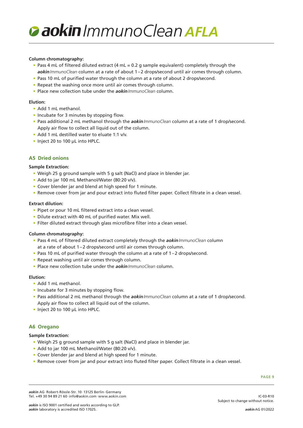

#### **Column chromatography:**

- Pass 4 mL of filtered diluted extract (4 mL = 0.2 g sample equivalent) completely through the *aokinImmunoClean* column at a rate of about 1–2 drops/second until air comes through column.
- Pass 10 mL of purified water through the column at a rate of about 2 drops/second.
- Repeat the washing once more until air comes through column.
- Place new collection tube under the *aokinImmunoClean* column.

#### **Elution:**

- Add 1 mL methanol.
- Incubate for 3 minutes by stopping flow.
- Pass additional 2 mL methanol through the *aokinImmunoClean* column at a rate of 1 drop/second. Apply air flow to collect all liquid out of the column.
- Add 1 mL destilled water to eluate 1:1 v/v.
- Inject 20 to 100 µL into HPLC.

#### **A5 Dried onions**

#### **Sample Extraction:**

- Weigh 25 g ground sample with 5 g salt (NaCl) and place in blender jar.
- Add to jar 100 mL Methanol/Water (80:20 v/v).
- Cover blender jar and blend at high speed for 1 minute.
- Remove cover from jar and pour extract into fluted filter paper. Collect filtrate in a clean vessel.

#### **Extract dilution:**

- Pipet or pour 10 mL filtered extract into a clean vessel.
- Dilute extract with 40 mL of purified water. Mix well.
- Filter diluted extract through glass microfibre filter into a clean vessel.

#### **Column chromatography:**

- Pass 4 mL of filtered diluted extract completely through the *aokinImmunoClean* column at a rate of about 1–2 drops/second until air comes through column.
- Pass 10 mL of purified water through the column at a rate of 1–2 drops/second.
- Repeat washing until air comes through column.
- Place new collection tube under the *aokinImmunoClean* column.

#### **Elution:**

- Add 1 mL methanol.
- Incubate for 3 minutes by stopping flow.
- Pass additional 2 mL methanol through the *aokinImmunoClean* column at a rate of 1 drop/second. Apply air flow to collect all liquid out of the column.
- Inject 20 to 100 µL into HPLC.

#### **A6 Oregano**

#### **Sample Extraction:**

- Weigh 25 g ground sample with 5 g salt (NaCl) and place in blender jar.
- Add to jar 100 mL Methanol/Water (80:20 v/v).
- Cover blender jar and blend at high speed for 1 minute.
- Remove cover from jar and pour extract into fluted filter paper. Collect filtrate in a clean vessel.

PAGE 9

IC-03-R10

*aokin* AG·Robert-Rössle-Str. 10·13125 Berlin·Germany Tel. +49 30 94 89 21 60·info@aokin.com·www.aokin.com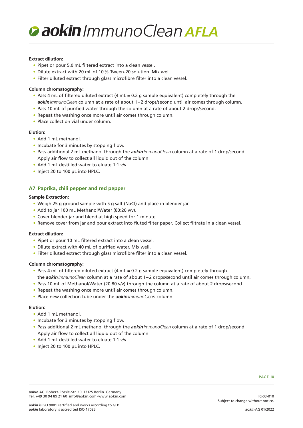#### **Extract dilution:**

- Pipet or pour 5.0 mL filtered extract into a clean vessel.
- Dilute extract with 20 mL of 10% Tween-20 solution. Mix well.
- Filter diluted extract through glass microfibre filter into a clean vessel.

#### **Column chromatography:**

- Pass 4 mL of filtered diluted extract (4 mL = 0.2 g sample equivalent) completely through the *aokinImmunoClean* column at a rate of about 1–2 drops/second until air comes through column.
- Pass 10 mL of purified water through the column at a rate of about 2 drops/second.
- Repeat the washing once more until air comes through column.
- Place collection vial under column.

#### **Elution:**

- Add 1 mL methanol.
- Incubate for 3 minutes by stopping flow.
- Pass additional 2 mL methanol through the *aokinImmunoClean* column at a rate of 1 drop/second. Apply air flow to collect all liquid out of the column.
- Add 1 mL destilled water to eluate 1:1 v/v.
- Inject 20 to 100 µL into HPLC.

#### **A7 Paprika, chili pepper and red pepper**

#### **Sample Extraction:**

- Weigh 25 g ground sample with 5 g salt (NaCl) and place in blender jar.
- Add to jar 100 mL Methanol/Water (80:20 v/v).
- Cover blender jar and blend at high speed for 1 minute.
- Remove cover from jar and pour extract into fluted filter paper. Collect filtrate in a clean vessel.

#### **Extract dilution:**

- Pipet or pour 10 mL filtered extract into a clean vessel.
- Dilute extract with 40 mL of purified water. Mix well.
- Filter diluted extract through glass microfibre filter into a clean vessel.

#### **Column chromatography:**

- Pass 4 mL of filtered diluted extract (4 mL = 0.2 g sample equivalent) completely through the *aokinImmunoClean* column at a rate of about 1–2 drops/second until air comes through column.
- Pass 10 mL of Methanol/Water (20:80 v/v) through the column at a rate of about 2 drops/second.
- Repeat the washing once more until air comes through column.
- Place new collection tube under the *aokinImmunoClean* column.

#### **Elution:**

- Add 1 mL methanol.
- Incubate for 3 minutes by stopping flow.
- Pass additional 2 mL methanol through the *aokinImmunoClean* column at a rate of 1 drop/second. Apply air flow to collect all liquid out of the column.
- Add 1 mL destilled water to eluate 1:1 v/v.
- Inject 20 to 100 µL into HPLC.

IC-03-R10

*aokin* AG·Robert-Rössle-Str. 10·13125 Berlin·Germany Tel. +49 30 94 89 21 60·info@aokin.com·www.aokin.com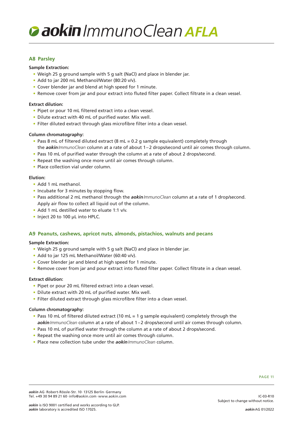

#### **A8 Parsley**

#### **Sample Extraction:**

- Weigh 25 g ground sample with 5 g salt (NaCl) and place in blender jar.
- Add to jar 200 mL Methanol/Water (80:20 v/v).
- Cover blender jar and blend at high speed for 1 minute.
- Remove cover from jar and pour extract into fluted filter paper. Collect filtrate in a clean vessel.

#### **Extract dilution:**

- Pipet or pour 10 mL filtered extract into a clean vessel.
- Dilute extract with 40 mL of purified water. Mix well.
- Filter diluted extract through glass microfibre filter into a clean vessel.

#### **Column chromatography:**

- Pass 8 mL of filtered diluted extract (8 mL = 0.2 g sample equivalent) completely through the *aokinImmunoClean* column at a rate of about 1–2 drops/second until air comes through column.
- Pass 10 mL of purified water through the column at a rate of about 2 drops/second.
- Repeat the washing once more until air comes through column.
- Place collection vial under column.

#### **Elution:**

- Add 1 mL methanol.
- Incubate for 3 minutes by stopping flow.
- Pass additional 2 mL methanol through the *aokinImmunoClean* column at a rate of 1 drop/second. Apply air flow to collect all liquid out of the column.
- Add 1 mL destilled water to eluate 1:1 v/v.
- Inject 20 to 100 µL into HPLC.

#### **A9 Peanuts, cashews, apricot nuts, almonds, pistachios, walnuts and pecans**

#### **Sample Extraction:**

- Weigh 25 g ground sample with 5 g salt (NaCl) and place in blender jar.
- Add to jar 125 mL Methanol/Water (60:40 v/v).
- Cover blender jar and blend at high speed for 1 minute.
- Remove cover from jar and pour extract into fluted filter paper. Collect filtrate in a clean vessel.

#### **Extract dilution:**

- Pipet or pour 20 mL filtered extract into a clean vessel.
- Dilute extract with 20 mL of purified water. Mix well.
- Filter diluted extract through glass microfibre filter into a clean vessel.

#### **Column chromatography:**

- Pass 10 mL of filtered diluted extract (10 mL = 1 g sample equivalent) completely through the *aokinImmunoClean* column at a rate of about 1–2 drops/second until air comes through column.
- Pass 10 mL of purified water through the column at a rate of about 2 drops/second.
- Repeat the washing once more until air comes through column.
- Place new collection tube under the *aokinImmunoClean* column.

IC-03-R10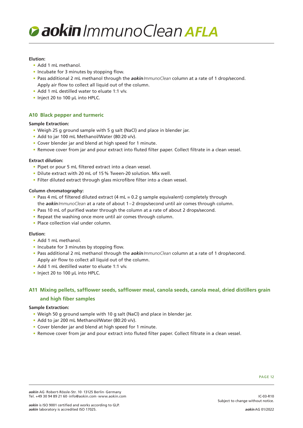#### **Elution:**

- Add 1 mL methanol.
- Incubate for 3 minutes by stopping flow.
- Pass additional 2 mL methanol through the *aokinImmunoClean* column at a rate of 1 drop/second. Apply air flow to collect all liquid out of the column.
- Add 1 mL destilled water to eluate 1:1 v/v.
- Inject 20 to 100 µL into HPLC.

#### **A10 Black pepper and turmeric**

#### **Sample Extraction:**

- Weigh 25 g ground sample with 5 g salt (NaCl) and place in blender jar.
- Add to jar 100 mL Methanol/Water (80:20 v/v).
- Cover blender jar and blend at high speed for 1 minute.
- Remove cover from jar and pour extract into fluted filter paper. Collect filtrate in a clean vessel.

#### **Extract dilution:**

- Pipet or pour 5 mL filtered extract into a clean vessel.
- Dilute extract with 20 mL of 15% Tween-20 solution. Mix well.
- Filter diluted extract through glass microfibre filter into a clean vessel.

#### **Column chromatography:**

- Pass 4 mL of filtered diluted extract (4 mL = 0.2 g sample equivalent) completely through the *aokinImmunoClean* at a rate of about 1–2 drops/second until air comes through column.
- Pass 10 mL of purified water through the column at a rate of about 2 drops/second.
- Repeat the washing once more until air comes through column.
- Place collection vial under column.

#### **Elution:**

- Add 1 mL methanol.
- Incubate for 3 minutes by stopping flow.
- Pass additional 2 mL methanol through the *aokinImmunoClean* column at a rate of 1 drop/second. Apply air flow to collect all liquid out of the column.
- Add 1 mL destilled water to eluate 1:1 v/v.
- Inject 20 to 100 µL into HPLC.

## **A11 Mixing pellets, safflower seeds, safflower meal, canola seeds, canola meal, dried distillers grain and high fiber samples**

#### **Sample Extraction:**

- Weigh 50 g ground sample with 10 g salt (NaCl) and place in blender jar.
- Add to jar 200 mL Methanol/Water (80:20 v/v).
- Cover blender jar and blend at high speed for 1 minute.
- Remove cover from jar and pour extract into fluted filter paper. Collect filtrate in a clean vessel.

#### PAGE 12

*aokin* AG·Robert-Rössle-Str. 10·13125 Berlin·Germany Tel. +49 30 94 89 21 60·info@aokin.com·www.aokin.com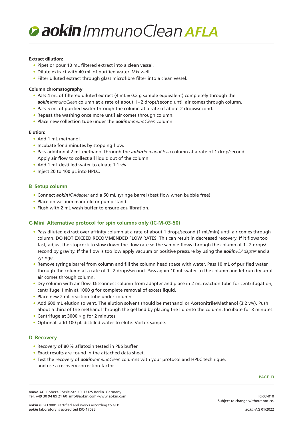#### **Extract dilution:**

- Pipet or pour 10 mL filtered extract into a clean vessel.
- Dilute extract with 40 mL of purified water. Mix well.
- Filter diluted extract through glass microfibre filter into a clean vessel.

#### **Column chromatography**

- Pass 4 mL of filtered diluted extract (4 mL = 0.2 g sample equivalent) completely through the *aokinImmunoClean* column at a rate of about 1–2 drops/second until air comes through column.
- Pass 5 mL of purified water through the column at a rate of about 2 drops/second.
- Repeat the washing once more until air comes through column.
- Place new collection tube under the *aokinImmunoClean* column.

#### **Elution:**

- Add 1 mL methanol.
- Incubate for 3 minutes by stopping flow.
- Pass additional 2 mL methanol through the *aokinImmunoClean* column at a rate of 1 drop/second. Apply air flow to collect all liquid out of the column.
- Add 1 mL destilled water to eluate 1:1 v/v.
- Inject 20 to 100 µL into HPLC.

#### **B Setup column**

- Connect *aokinICAdapter* and a 50 mL syringe barrel (best flow when bubble free).
- Place on vacuum manifold or pump stand.
- Flush with 2 mL wash buffer to ensure equilibration.

#### **C-Mini Alternative protocol for spin columns only (IC-M-03-50)**

- Pass diluted extract over affinity column at a rate of about 1 drops/second (1 mL/min) until air comes through column. DO NOT EXCEED RECOMMENDED FLOW RATES. This can result in decreased recovery. If it flows too fast, adjust the stopcock to slow down the flow rate so the sample flows through the column at 1–2 drops/ second by gravity. If the flow is too low apply vacuum or positive pressure by using the *aokinICAdapter* and a syringe.
- Remove syringe barrel from column and fill the column head space with water. Pass 10 mL of purified water through the column at a rate of 1–2 drops/second. Pass again 10 mL water to the column and let run dry until air comes through column.
- Dry column with air flow. Disconnect column from adapter and place in 2 mL reaction tube for centrifugation, centrifuge 1 min at 1000 g for complete removal of excess liquid.
- Place new 2 mL reaction tube under column.
- Add 600 mL elution solvent. The elution solvent should be methanol or Acetonitrile/Methanol (3:2 v/v). Push about a third of the methanol through the gel bed by placing the lid onto the column. Incubate for 3 minutes.
- Centrifuge at 3000 × g for 2 minutes.
- Optional: add 100 µL distilled water to elute. Vortex sample.

#### **D Recovery**

- Recovery of 80% aflatoxin tested in PBS buffer.
- Exact results are found in the attached data sheet.
- Test the recovery of *aokinImmunoClean* columns with your protocol and HPLC technique, and use a recovery correction factor.

PAGE 13

IC-03-R10

*aokin* AG·Robert-Rössle-Str. 10·13125 Berlin·Germany Tel. +49 30 94 89 21 60·info@aokin.com·www.aokin.com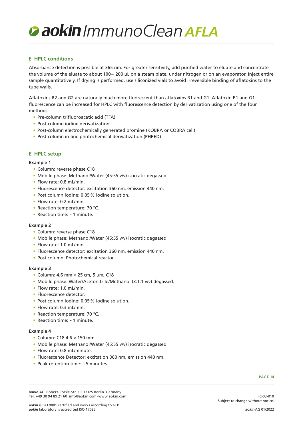### **E HPLC conditions**

Absorbance detection is possible at 365 nm. For greater sensitivity, add purified water to eluate and concentrate the volume of the eluate to about 100– 200 µL on a steam plate, under nitrogen or on an evaporator. Inject entire sample quantitatively. If drying is performed, use siliconized vials to avoid irreversible binding of aflatoxins to the tube walls.

Aflatoxins B2 and G2 are naturally much more fluorescent than aflatoxins B1 and G1. Aflatoxin B1 and G1 fluorescence can be increased for HPLC with fluorescence detection by derivatization using one of the four methods:

- Pre-column trifluoroacetic acid (TFA)
- Post-column iodine derivatization
- Post-column electrochemically generated bromine (KOBRA or COBRA cell)
- Post-column in-line photochemical derivatization (PHRED)

#### **E HPLC setup**

#### **Example 1**

- Column: reverse phase C18
- Mobile phase: Methanol/Water (45:55 v/v) isocratic degassed.
- Flow rate: 0.8 mL/min.
- Fluorescence detector: excitation 360 nm, emission 440 nm.
- Post column iodine: 0.05% iodine solution.
- Flow rate: 0.2 mL/min.
- Reaction temperature: 70 °C.
- Reaction time: ~1 minute.

#### **Example 2**

- Column: reverse phase C18
- Mobile phase: Methanol/Water (45:55 v/v) isocratic degassed.
- Flow rate: 1.0 mL/min.
- Fluorescence detector: excitation 360 nm, emission 440 nm.
- Post column: Photochemical reactor.

#### **Example 3**

- Column: 4.6 mm × 25 cm, 5 µm, C18
- Mobile phase: Water/Acetonitrile/Methanol (3:1:1 v/v) degassed.
- Flow rate: 1.0 mL/min.
- Fluorescence detector.
- Post column iodine: 0.05% iodine solution.
- Flow rate: 0.3 mL/min.
- Reaction temperature: 70 °C.
- Reaction time: ~1 minute.

#### **Example 4**

- Column: C18 4.6 × 150 mm
- Mobile phase: Methanol/Water (45:55 v/v) isocratic degassed.
- Flow rate: 0.8 mL/minute.
- Fluorescence Detector: excitation 360 nm, emission 440 nm.
- Peak retention time: ~5 minutes.

PAGE 14

*aokin* AG·Robert-Rössle-Str. 10·13125 Berlin·Germany Tel. +49 30 94 89 21 60·info@aokin.com·www.aokin.com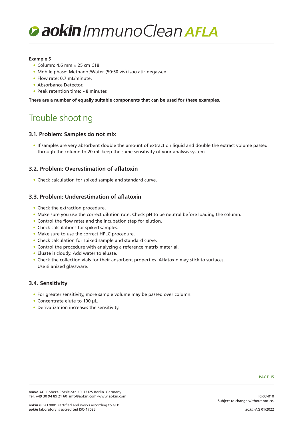

#### **Example 5**

- Column: 4.6 mm × 25 cm C18
- Mobile phase: Methanol/Water (50:50 v/v) isocratic degassed.
- Flow rate: 0.7 mL/minute.
- Absorbance Detector.
- Peak retention time: ~8 minutes

**There are a number of equally suitable components that can be used for these examples.**

# Trouble shooting

#### **3.1. Problem: Samples do not mix**

• If samples are very absorbent double the amount of extraction liquid and double the extract volume passed through the column to 20 mL keep the same sensitivity of your analysis system.

#### **3.2. Problem: Overestimation of aflatoxin**

• Check calculation for spiked sample and standard curve.

#### **3.3. Problem: Underestimation of aflatoxin**

- Check the extraction procedure.
- Make sure you use the correct dilution rate. Check pH to be neutral before loading the column.
- Control the flow rates and the incubation step for elution.
- Check calculations for spiked samples.
- Make sure to use the correct HPLC procedure.
- Check calculation for spiked sample and standard curve.
- Control the procedure with analyzing a reference matrix material.
- Eluate is cloudy. Add water to eluate.
- Check the collection vials for their adsorbent properties. Aflatoxin may stick to surfaces. Use silanized glassware.

#### **3.4. Sensitivity**

- For greater sensitivity, more sample volume may be passed over column.
- Concentrate elute to 100 µL.
- Derivatization increases the sensitivity.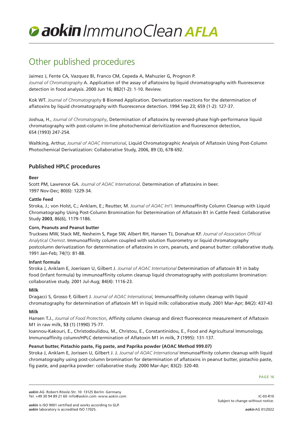# Other published procedures

Jaimez J, Fente CA, Vazquez BI, Franco CM, Cepeda A, Mahuzier G, Prognon P. *Journal of Chromatography* A. Application of the assay of aflatoxins by liquid chromatography with fluorescence detection in food analysis. 2000 Jun 16; 882(1-2): 1-10. Review.

Kok WT. *Journal of Chromatography* B Biomed Application. Derivatization reactions for the determination of aflatoxins by liquid chromatography with fluorescence detection. 1994 Sep 23; 659 (1-2): 127-37.

Joshua, H., *Journal of Chromatography*, Determination of aflatoxins by reversed-phase high-performance liquid chromatography with post-column in-line photochemical derivitization and fluorescence detection, 654 (1993) 247-254.

Waltking, Arthur, *Journal of AOAC International*, Liquid Chromatographic Analysis of Aflatoxin Using Post-Column Photochemical Derivatization: Collaborative Study, 2006, 89 (3), 678-692.

## **Published HPLC procedures**

#### **Beer**

Scott PM, Lawrence GA. *Journal of AOAC International*. Determination of aflatoxins in beer. 1997 Nov-Dec; 80(6): 1229-34.

#### **Cattle Feed**

Stroka, J.; von Holst, C.; Anklam, E.; Reutter, M. *Journal of AOAC Int'l*. Immunoaffinity Column Cleanup with Liquid Chromatography Using Post-Column Bromination for Determination of Aflatoxin B1 in Cattle Feed: Collaborative Study **2003**, 86(6), 1179-1186.

#### **Corn, Peanuts and Peanut butter**

Trucksess MW, Stack ME, Nesheim S, Page SW, Albert RH, Hansen TJ, Donahue KF. *Journal of Association Official Analytical Chemist*. Immunoaffinity column coupled with solution fluorometry or liquid chromatography postcolumn derivatization for determination of aflatoxins in corn, peanuts, and peanut butter: collaborative study. 1991 Jan-Feb; 74(1): 81-88.

#### **Infant formula**

Stroka J, Anklam E, Joerissen U, Gilbert J. *Journal of AOAC International* Determination of aflatoxin B1 in baby food (infant formula) by immunoaffinity column cleanup liquid chromatography with postcolumn bromination: collaborative study. 2001 Jul-Aug; 84(4): 1116-23.

#### **Milk**

Dragacci S, Grosso F, Gilbert J. *Journal of AOAC International*, Immunoaffinity column cleanup with liquid chromatography for determination of aflatoxin M1 in liquid milk: collaborative study. 2001 Mar-Apr; 84(2): 437-43

#### **Milk**

Hansen T.J., *Journal of Food Protection*, Affinity column cleanup and direct fluorescence measurement of Aflatoxin M1 in raw milk, **53** (1) (1990) 75-77.

Ioannou-Kakouri, E., Christodoulidou, M., Christou, E., Constantinidou, E., Food and Agricultural Immunology, Immunoaffinity column/HPLC determination of Aflatoxin M1 in milk, **7** (1995): 131-137.

#### **Peanut butter, Pistachio paste, Fig paste, and Paprika powder (AOAC Method 999.07)**

Stroka J, Anklam E, Jorissen U, Gilbert J. J. *Journal of AOAC International* Immunoaffinity column cleanup with liquid chromatography using post-column bromination for determination of aflatoxins in peanut butter, pistachio paste, fig paste, and paprika powder: collaborative study. 2000 Mar-Apr; 83(2): 320-40.